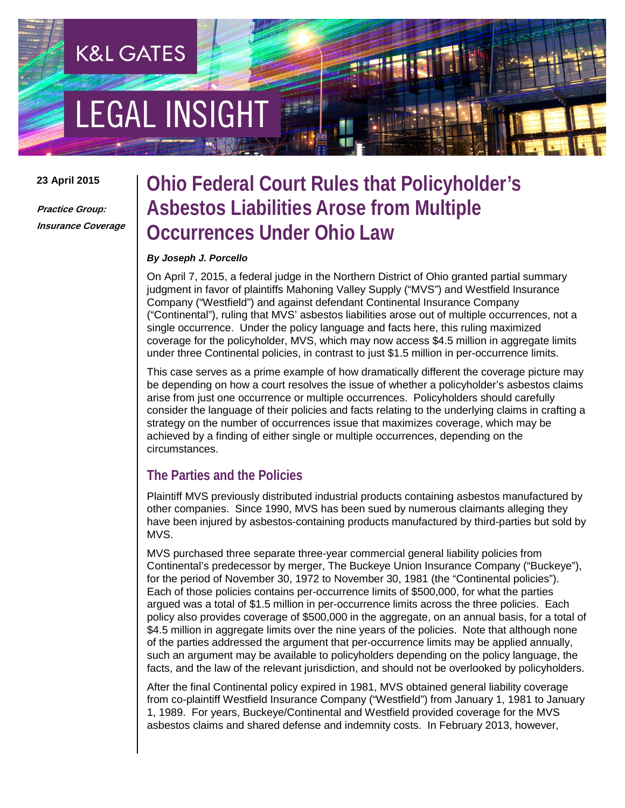# **EGAL INSIGHT**

**K&L GATES** 

#### **23 April 2015**

**Practice Group: Insurance Coverage**

# **Ohio Federal Court Rules that Policyholder's Asbestos Liabilities Arose from Multiple Occurrences Under Ohio Law**

#### *By Joseph J. Porcello*

On April 7, 2015, a federal judge in the Northern District of Ohio granted partial summary judgment in favor of plaintiffs Mahoning Valley Supply ("MVS") and Westfield Insurance Company ("Westfield") and against defendant Continental Insurance Company ("Continental"), ruling that MVS' asbestos liabilities arose out of multiple occurrences, not a single occurrence. Under the policy language and facts here, this ruling maximized coverage for the policyholder, MVS, which may now access \$4.5 million in aggregate limits under three Continental policies, in contrast to just \$1.5 million in per-occurrence limits.

This case serves as a prime example of how dramatically different the coverage picture may be depending on how a court resolves the issue of whether a policyholder's asbestos claims arise from just one occurrence or multiple occurrences. Policyholders should carefully consider the language of their policies and facts relating to the underlying claims in crafting a strategy on the number of occurrences issue that maximizes coverage, which may be achieved by a finding of either single or multiple occurrences, depending on the circumstances.

# **The Parties and the Policies**

Plaintiff MVS previously distributed industrial products containing asbestos manufactured by other companies. Since 1990, MVS has been sued by numerous claimants alleging they have been injured by asbestos-containing products manufactured by third-parties but sold by MVS.

MVS purchased three separate three-year commercial general liability policies from Continental's predecessor by merger, The Buckeye Union Insurance Company ("Buckeye"), for the period of November 30, 1972 to November 30, 1981 (the "Continental policies"). Each of those policies contains per-occurrence limits of \$500,000, for what the parties argued was a total of \$1.5 million in per-occurrence limits across the three policies. Each policy also provides coverage of \$500,000 in the aggregate, on an annual basis, for a total of \$4.5 million in aggregate limits over the nine years of the policies. Note that although none of the parties addressed the argument that per-occurrence limits may be applied annually, such an argument may be available to policyholders depending on the policy language, the facts, and the law of the relevant jurisdiction, and should not be overlooked by policyholders.

After the final Continental policy expired in 1981, MVS obtained general liability coverage from co-plaintiff Westfield Insurance Company ("Westfield") from January 1, 1981 to January 1, 1989. For years, Buckeye/Continental and Westfield provided coverage for the MVS asbestos claims and shared defense and indemnity costs. In February 2013, however,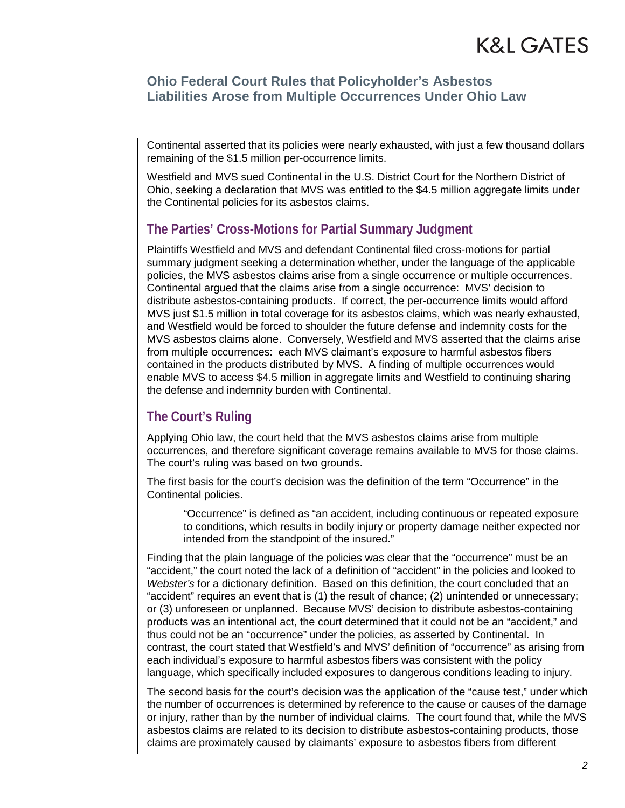## **Ohio Federal Court Rules that Policyholder's Asbestos Liabilities Arose from Multiple Occurrences Under Ohio Law**

Continental asserted that its policies were nearly exhausted, with just a few thousand dollars remaining of the \$1.5 million per-occurrence limits.

Westfield and MVS sued Continental in the U.S. District Court for the Northern District of Ohio, seeking a declaration that MVS was entitled to the \$4.5 million aggregate limits under the Continental policies for its asbestos claims.

## **The Parties' Cross-Motions for Partial Summary Judgment**

Plaintiffs Westfield and MVS and defendant Continental filed cross-motions for partial summary judgment seeking a determination whether, under the language of the applicable policies, the MVS asbestos claims arise from a single occurrence or multiple occurrences. Continental argued that the claims arise from a single occurrence: MVS' decision to distribute asbestos-containing products. If correct, the per-occurrence limits would afford MVS just \$1.5 million in total coverage for its asbestos claims, which was nearly exhausted, and Westfield would be forced to shoulder the future defense and indemnity costs for the MVS asbestos claims alone. Conversely, Westfield and MVS asserted that the claims arise from multiple occurrences: each MVS claimant's exposure to harmful asbestos fibers contained in the products distributed by MVS. A finding of multiple occurrences would enable MVS to access \$4.5 million in aggregate limits and Westfield to continuing sharing the defense and indemnity burden with Continental.

# **The Court's Ruling**

Applying Ohio law, the court held that the MVS asbestos claims arise from multiple occurrences, and therefore significant coverage remains available to MVS for those claims. The court's ruling was based on two grounds.

The first basis for the court's decision was the definition of the term "Occurrence" in the Continental policies.

"Occurrence" is defined as "an accident, including continuous or repeated exposure to conditions, which results in bodily injury or property damage neither expected nor intended from the standpoint of the insured."

Finding that the plain language of the policies was clear that the "occurrence" must be an "accident," the court noted the lack of a definition of "accident" in the policies and looked to *Webster's* for a dictionary definition. Based on this definition, the court concluded that an "accident" requires an event that is (1) the result of chance; (2) unintended or unnecessary; or (3) unforeseen or unplanned. Because MVS' decision to distribute asbestos-containing products was an intentional act, the court determined that it could not be an "accident," and thus could not be an "occurrence" under the policies, as asserted by Continental. In contrast, the court stated that Westfield's and MVS' definition of "occurrence" as arising from each individual's exposure to harmful asbestos fibers was consistent with the policy language, which specifically included exposures to dangerous conditions leading to injury.

The second basis for the court's decision was the application of the "cause test," under which the number of occurrences is determined by reference to the cause or causes of the damage or injury, rather than by the number of individual claims. The court found that, while the MVS asbestos claims are related to its decision to distribute asbestos-containing products, those claims are proximately caused by claimants' exposure to asbestos fibers from different